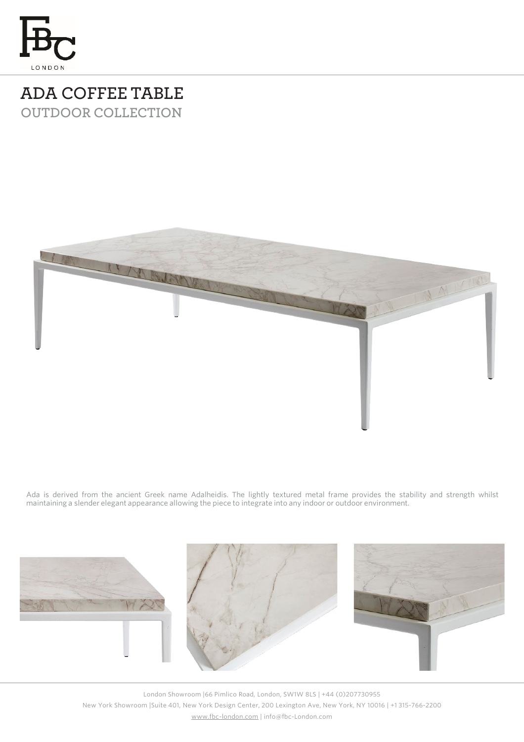

## **ADA COFFEE TABLE OUTDOOR COLLECTION**



Ada is derived from the ancient Greek name Adalheidis. The lightly textured metal frame provides the stability and strength whilst maintaining a slender elegant appearance allowing the piece to integrate into any indoor or outdoor environment.



London Showroom |66 Pimlico Road, London, SW1W 8LS | +44 (0)207730955 New York Showroom |Suite 401, New York Design Center, 200 Lexington Ave, New York, NY 10016 | +1 315-766-2200 [www.fbc-london.com](http://www.fbc-london.com/) | info@fbc-London.com